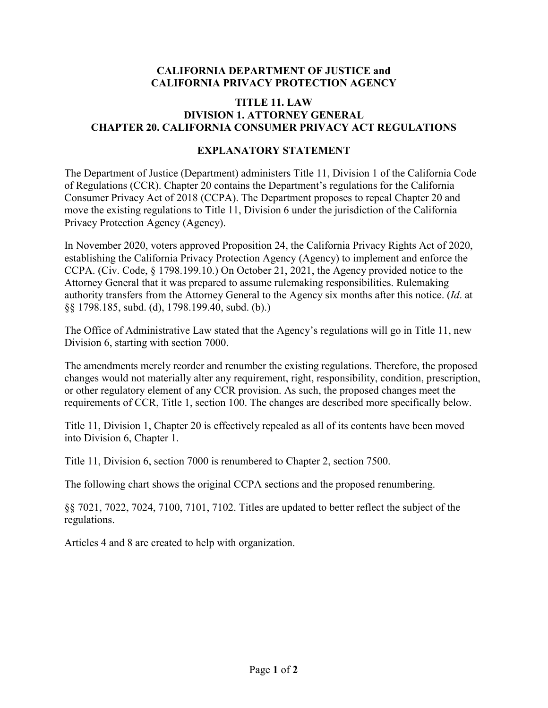## **CALIFORNIA DEPARTMENT OF JUSTICE and CALIFORNIA PRIVACY PROTECTION AGENCY**

## **TITLE 11. LAW DIVISION 1. ATTORNEY GENERAL CHAPTER 20. CALIFORNIA CONSUMER PRIVACY ACT REGULATIONS**

## **EXPLANATORY STATEMENT**

The Department of Justice (Department) administers Title 11, Division 1 of the California Code of Regulations (CCR). Chapter 20 contains the Department's regulations for the California Consumer Privacy Act of 2018 (CCPA). The Department proposes to repeal Chapter 20 and move the existing regulations to Title 11, Division 6 under the jurisdiction of the California Privacy Protection Agency (Agency).

In November 2020, voters approved Proposition 24, the California Privacy Rights Act of 2020, establishing the California Privacy Protection Agency (Agency) to implement and enforce the CCPA. (Civ. Code, § [1798.199.10](https://1798.199.10).) On October 21, 2021, the Agency provided notice to the Attorney General that it was prepared to assume rulemaking responsibilities. Rulemaking authority transfers from the Attorney General to the Agency six months after this notice. (*Id*. at §§ 1798.185, subd. (d), [1798.199.40,](https://1798.199.40) subd. (b).)

The Office of Administrative Law stated that the Agency's regulations will go in Title 11, new Division 6, starting with section 7000.

The amendments merely reorder and renumber the existing regulations. Therefore, the proposed changes would not materially alter any requirement, right, responsibility, condition, prescription, or other regulatory element of any CCR provision. As such, the proposed changes meet the requirements of CCR, Title 1, section 100. The changes are described more specifically below.

 Title 11, Division 1, Chapter 20 is effectively repealed as all of its contents have been moved into Division 6, Chapter 1.

Title 11, Division 6, section 7000 is renumbered to Chapter 2, section 7500.

The following chart shows the original CCPA sections and the proposed renumbering.

§§ 7021, 7022, 7024, 7100, 7101, 7102. Titles are updated to better reflect the subject of the regulations.

Articles 4 and 8 are created to help with organization.